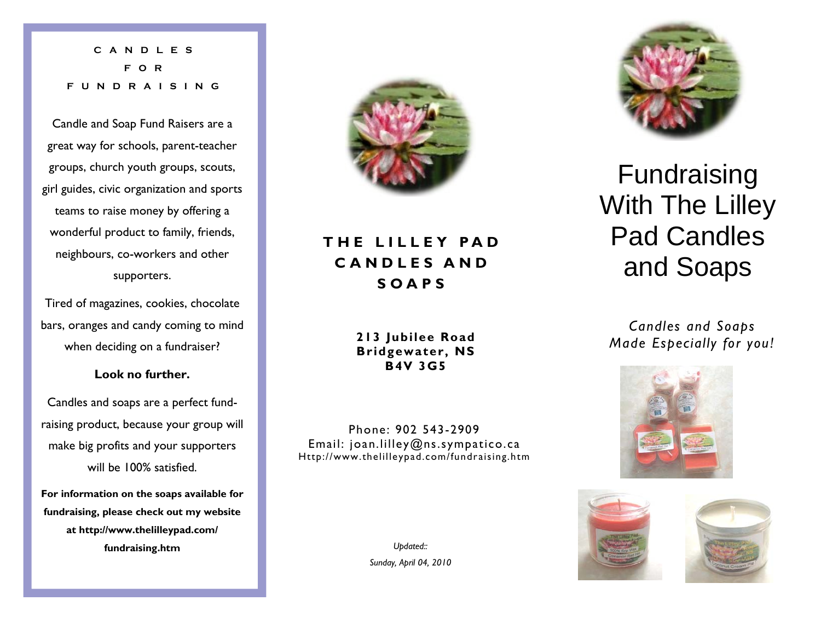**CANDLES FOR FUNDRAISING** 

Candle and Soap Fund Raisers are a great way for schools, parent-teacher groups, church youth groups, scouts, girl guides, civic organization and sports teams to raise money by offering a wonderful product to family, friends, neighbours, co-workers and other supporters.

Tired of magazines, cookies, chocolate bars, oranges and candy coming to mind when deciding on a fundraiser?

## **Look no further.**

Candles and soaps are a perfect fundraising product, because your group will make big profits and your supporters will be 100% satisfied.

**For information on the soaps available for fundraising, please check out my website at http://www.thelilleypad.com/ fundraising.htm** 



# **THE LILLEY PAD CANDLES AND SOAPS**

**213 Jubilee Road Bridgewater, NS B4V 3G5** 

Phone: 902 543-2909 Email: joan.lilley@ns.sympatico.ca Http://www.thelilleypad.com/fundraising.htm

> *Updated:: Sunday, April 04, 2010*



# Fundraising With The Lilley Pad Candles and Soaps

*Candles and Soaps Made Especially for you!*